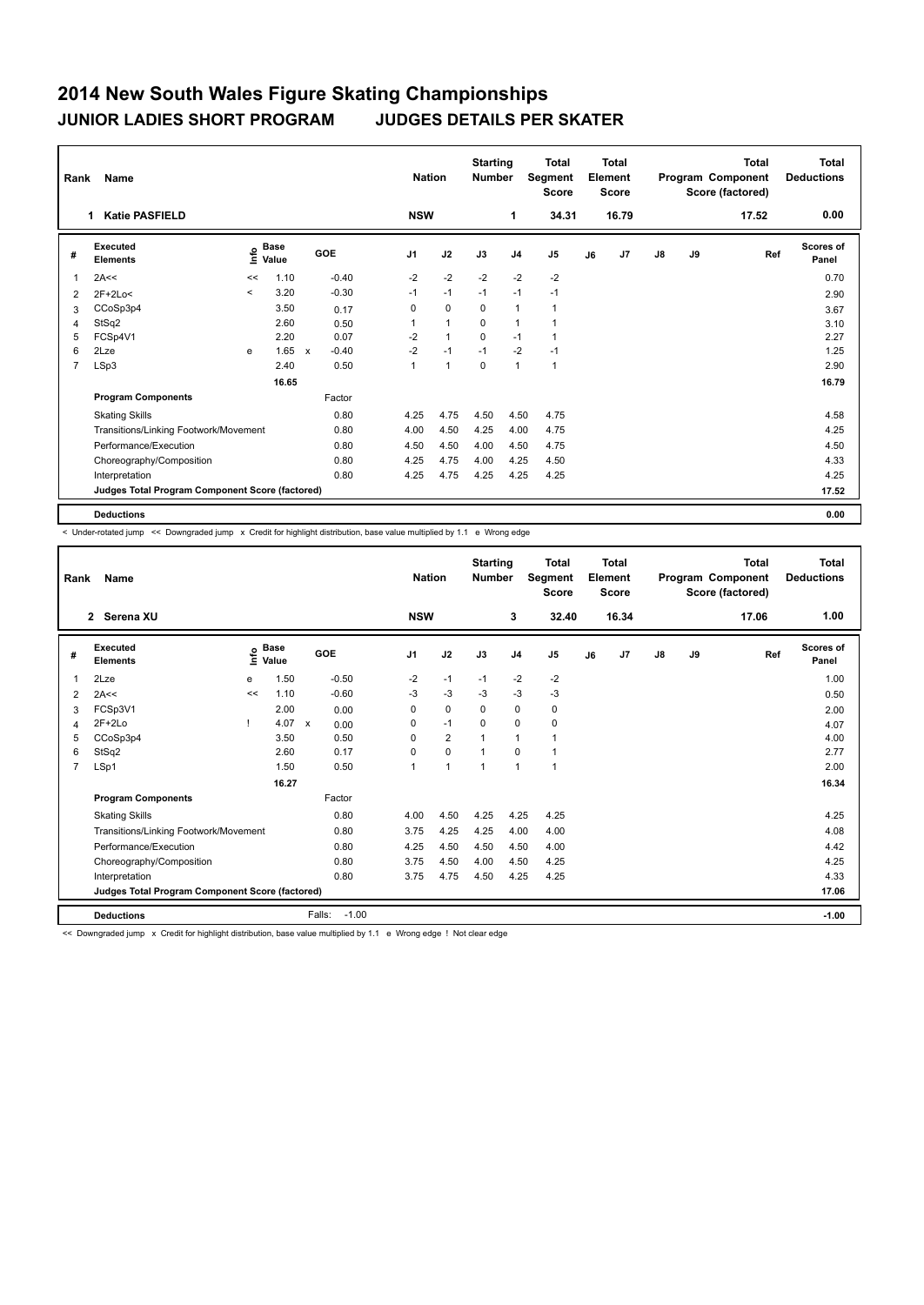## **2014 New South Wales Figure Skating Championships JUNIOR LADIES SHORT PROGRAM JUDGES DETAILS PER SKATER**

| Rank           | Name                                            |         | <b>Nation</b>                    |              | <b>Starting</b><br><b>Number</b> | <b>Total</b><br>Segment<br><b>Score</b> | <b>Total</b><br>Element<br><b>Score</b> |             |                |                | <b>Total</b><br>Program Component<br>Score (factored) | <b>Total</b><br><b>Deductions</b> |               |    |       |                    |
|----------------|-------------------------------------------------|---------|----------------------------------|--------------|----------------------------------|-----------------------------------------|-----------------------------------------|-------------|----------------|----------------|-------------------------------------------------------|-----------------------------------|---------------|----|-------|--------------------|
|                | <b>Katie PASFIELD</b><br>1                      |         |                                  |              |                                  | <b>NSW</b>                              |                                         |             | 1              | 34.31          |                                                       | 16.79                             |               |    | 17.52 | 0.00               |
| #              | Executed<br><b>Elements</b>                     |         | <b>Base</b><br>e Base<br>⊆ Value |              | GOE                              | J <sub>1</sub>                          | J2                                      | J3          | J <sub>4</sub> | J <sub>5</sub> | J6                                                    | J7                                | $\mathsf{J}8$ | J9 | Ref   | Scores of<br>Panel |
| 1              | 2A<<                                            | <<      | 1.10                             |              | $-0.40$                          | $-2$                                    | $-2$                                    | $-2$        | $-2$           | $-2$           |                                                       |                                   |               |    |       | 0.70               |
| $\overline{2}$ | $2F+2Lo<$                                       | $\prec$ | 3.20                             |              | $-0.30$                          | $-1$                                    | $-1$                                    | $-1$        | $-1$           | $-1$           |                                                       |                                   |               |    |       | 2.90               |
| 3              | CCoSp3p4                                        |         | 3.50                             |              | 0.17                             | 0                                       | 0                                       | 0           | $\mathbf{1}$   | $\mathbf{1}$   |                                                       |                                   |               |    |       | 3.67               |
| 4              | StSq2                                           |         | 2.60                             |              | 0.50                             |                                         | $\mathbf{1}$                            | 0           | $\mathbf{1}$   | 1              |                                                       |                                   |               |    |       | 3.10               |
| 5              | FCSp4V1                                         |         | 2.20                             |              | 0.07                             | $-2$                                    | $\mathbf{1}$                            | $\Omega$    | $-1$           | 1              |                                                       |                                   |               |    |       | 2.27               |
| 6              | 2Lze                                            | e       | 1.65                             | $\mathsf{x}$ | $-0.40$                          | $-2$                                    | $-1$                                    | $-1$        | $-2$           | $-1$           |                                                       |                                   |               |    |       | 1.25               |
| 7              | LSp3                                            |         | 2.40                             |              | 0.50                             | $\mathbf{1}$                            | $\overline{1}$                          | $\mathbf 0$ | $\mathbf{1}$   | $\mathbf{1}$   |                                                       |                                   |               |    |       | 2.90               |
|                |                                                 |         | 16.65                            |              |                                  |                                         |                                         |             |                |                |                                                       |                                   |               |    |       | 16.79              |
|                | <b>Program Components</b>                       |         |                                  |              | Factor                           |                                         |                                         |             |                |                |                                                       |                                   |               |    |       |                    |
|                | <b>Skating Skills</b>                           |         |                                  |              | 0.80                             | 4.25                                    | 4.75                                    | 4.50        | 4.50           | 4.75           |                                                       |                                   |               |    |       | 4.58               |
|                | Transitions/Linking Footwork/Movement           |         |                                  |              | 0.80                             | 4.00                                    | 4.50                                    | 4.25        | 4.00           | 4.75           |                                                       |                                   |               |    |       | 4.25               |
|                | Performance/Execution                           |         |                                  |              | 0.80                             | 4.50                                    | 4.50                                    | 4.00        | 4.50           | 4.75           |                                                       |                                   |               |    |       | 4.50               |
|                | Choreography/Composition                        |         |                                  |              | 0.80                             | 4.25                                    | 4.75                                    | 4.00        | 4.25           | 4.50           |                                                       |                                   |               |    |       | 4.33               |
|                | Interpretation                                  |         |                                  |              | 0.80                             | 4.25                                    | 4.75                                    | 4.25        | 4.25           | 4.25           |                                                       |                                   |               |    |       | 4.25               |
|                | Judges Total Program Component Score (factored) |         |                                  |              |                                  |                                         |                                         |             |                |                |                                                       |                                   |               |    |       | 17.52              |
|                | <b>Deductions</b>                               |         |                                  |              |                                  |                                         |                                         |             |                |                |                                                       |                                   |               |    |       | 0.00               |

< Under-rotated jump << Downgraded jump x Credit for highlight distribution, base value multiplied by 1.1 e Wrong edge

| Rank           | <b>Name</b><br>2 Serena XU                      | <b>Nation</b><br><b>NSW</b> |                      | <b>Starting</b><br><b>Number</b><br>3 |                | <b>Total</b><br>Segment<br><b>Score</b><br>32.40 | <b>Total</b><br>Element<br><b>Score</b><br>16.34 |                | Program Component |    | <b>Total</b><br>Score (factored)<br>17.06 | <b>Total</b><br><b>Deductions</b><br>1.00 |    |     |                    |
|----------------|-------------------------------------------------|-----------------------------|----------------------|---------------------------------------|----------------|--------------------------------------------------|--------------------------------------------------|----------------|-------------------|----|-------------------------------------------|-------------------------------------------|----|-----|--------------------|
| #              | Executed<br><b>Elements</b>                     | lnfo                        | <b>Base</b><br>Value | GOE                                   | J <sub>1</sub> | J2                                               | J3                                               | J <sub>4</sub> | J <sub>5</sub>    | J6 | J <sub>7</sub>                            | $\mathsf{J}8$                             | J9 | Ref | Scores of<br>Panel |
| 1              | 2Lze                                            | e                           | 1.50                 | $-0.50$                               | $-2$           | $-1$                                             | $-1$                                             | $-2$           | $-2$              |    |                                           |                                           |    |     | 1.00               |
| 2              | 2A<<                                            | <<                          | 1.10                 | $-0.60$                               | $-3$           | $-3$                                             | $-3$                                             | $-3$           | $-3$              |    |                                           |                                           |    |     | 0.50               |
| 3              | FCSp3V1                                         |                             | 2.00                 | 0.00                                  | 0              | $\Omega$                                         | $\Omega$                                         | $\Omega$       | 0                 |    |                                           |                                           |    |     | 2.00               |
| 4              | $2F+2Lo$                                        |                             | 4.07                 | $\mathsf{x}$<br>0.00                  | 0              | $-1$                                             | $\Omega$                                         | $\Omega$       | 0                 |    |                                           |                                           |    |     | 4.07               |
| 5              | CCoSp3p4                                        |                             | 3.50                 | 0.50                                  | $\Omega$       | $\overline{2}$                                   | 1                                                | $\mathbf{1}$   | 1                 |    |                                           |                                           |    |     | 4.00               |
| 6              | StSq2                                           |                             | 2.60                 | 0.17                                  | $\Omega$       | $\mathbf 0$                                      | 1                                                | $\Omega$       | 1                 |    |                                           |                                           |    |     | 2.77               |
| $\overline{7}$ | LSp1                                            |                             | 1.50                 | 0.50                                  | 1              | $\mathbf{1}$                                     | $\mathbf{1}$                                     | $\overline{1}$ | 1                 |    |                                           |                                           |    |     | 2.00               |
|                |                                                 |                             | 16.27                |                                       |                |                                                  |                                                  |                |                   |    |                                           |                                           |    |     | 16.34              |
|                | <b>Program Components</b>                       |                             |                      | Factor                                |                |                                                  |                                                  |                |                   |    |                                           |                                           |    |     |                    |
|                | <b>Skating Skills</b>                           |                             |                      | 0.80                                  | 4.00           | 4.50                                             | 4.25                                             | 4.25           | 4.25              |    |                                           |                                           |    |     | 4.25               |
|                | Transitions/Linking Footwork/Movement           |                             |                      | 0.80                                  | 3.75           | 4.25                                             | 4.25                                             | 4.00           | 4.00              |    |                                           |                                           |    |     | 4.08               |
|                | Performance/Execution                           |                             |                      | 0.80                                  | 4.25           | 4.50                                             | 4.50                                             | 4.50           | 4.00              |    |                                           |                                           |    |     | 4.42               |
|                | Choreography/Composition                        |                             |                      | 0.80                                  | 3.75           | 4.50                                             | 4.00                                             | 4.50           | 4.25              |    |                                           |                                           |    |     | 4.25               |
|                | Interpretation                                  |                             |                      | 0.80                                  | 3.75           | 4.75                                             | 4.50                                             | 4.25           | 4.25              |    |                                           |                                           |    |     | 4.33               |
|                | Judges Total Program Component Score (factored) |                             |                      |                                       |                |                                                  |                                                  |                |                   |    |                                           |                                           |    |     | 17.06              |
|                | <b>Deductions</b>                               |                             |                      | Falls:<br>$-1.00$                     |                |                                                  |                                                  |                |                   |    |                                           |                                           |    |     | $-1.00$            |

<< Downgraded jump x Credit for highlight distribution, base value multiplied by 1.1 e Wrong edge ! Not clear edge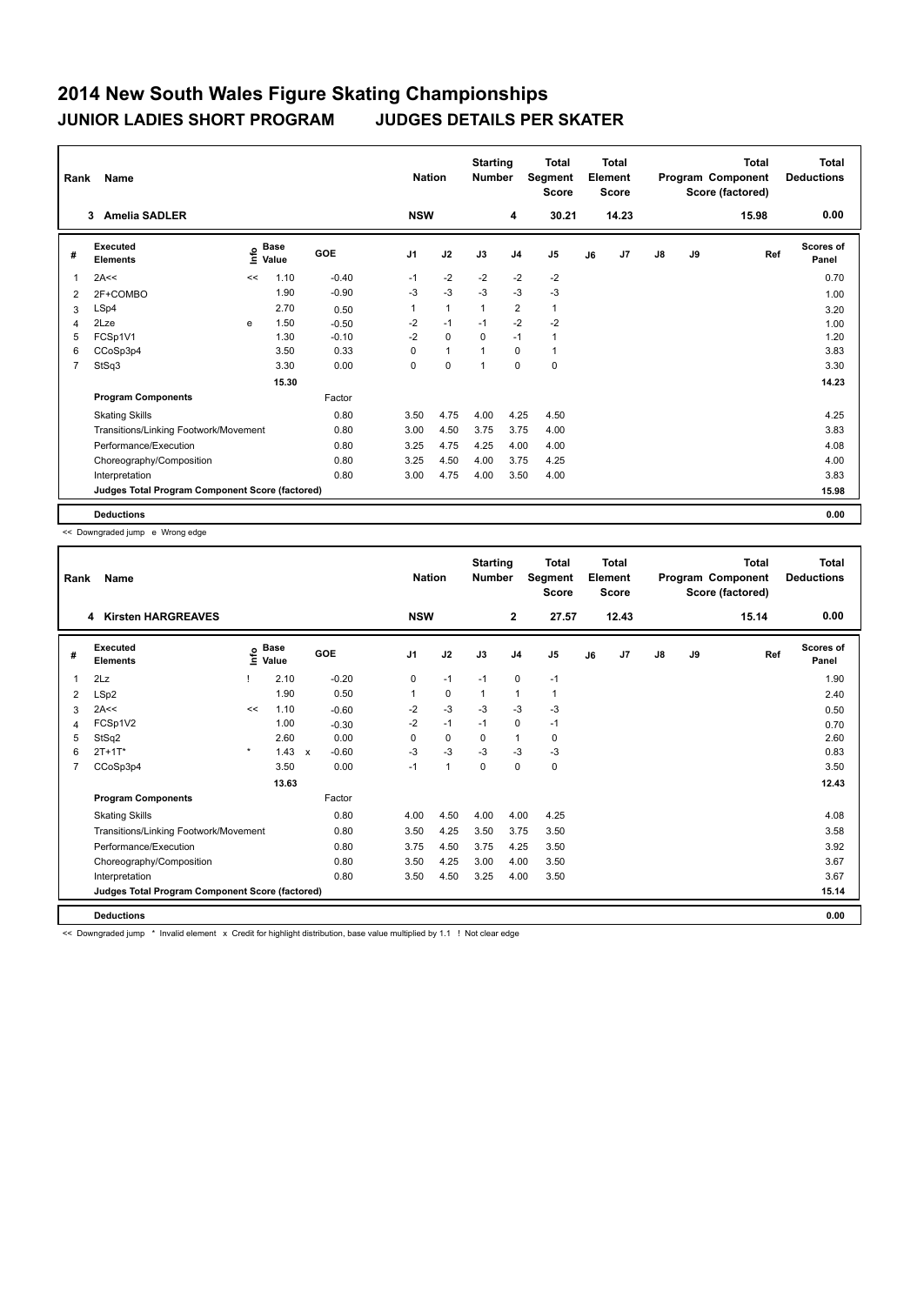## **2014 New South Wales Figure Skating Championships JUNIOR LADIES SHORT PROGRAM JUDGES DETAILS PER SKATER**

| Rank           | Name                                            |      | <b>Nation</b>                    |         | <b>Starting</b><br><b>Number</b> | <b>Total</b><br>Segment<br><b>Score</b> | <b>Total</b><br>Element<br>Score |                | Program Component |    | <b>Total</b><br>Score (factored) | <b>Total</b><br><b>Deductions</b> |      |       |                           |
|----------------|-------------------------------------------------|------|----------------------------------|---------|----------------------------------|-----------------------------------------|----------------------------------|----------------|-------------------|----|----------------------------------|-----------------------------------|------|-------|---------------------------|
|                | <b>Amelia SADLER</b><br>3                       |      |                                  |         | <b>NSW</b>                       |                                         |                                  | 4              | 30.21             |    | 14.23                            |                                   |      | 15.98 | 0.00                      |
| #              | Executed<br><b>Elements</b>                     |      | <b>Base</b><br>e Base<br>⊆ Value | GOE     | J <sub>1</sub>                   | J2                                      | J3                               | J <sub>4</sub> | J5                | J6 | J <sub>7</sub>                   | $\mathsf{J}8$                     | J9   | Ref   | <b>Scores of</b><br>Panel |
| 1              | 2A<<                                            | <<   | 1.10                             | $-0.40$ | $-1$                             | $-2$                                    | $-2$                             | $-2$           | $-2$              |    |                                  |                                   |      |       | 0.70                      |
| $\overline{2}$ | 2F+COMBO                                        |      | 1.90                             | $-0.90$ | -3                               | $-3$                                    | $-3$                             | $-3$           | $-3$              |    |                                  |                                   |      |       | 1.00                      |
| 3              | LSp4                                            |      | 2.70                             | 0.50    | 1                                | $\mathbf{1}$                            | 1                                | $\overline{2}$ | $\mathbf{1}$      |    |                                  |                                   |      |       | 3.20                      |
| $\overline{4}$ | 2Lze                                            | e    | 1.50                             | $-0.50$ | -2                               | $-1$                                    | $-1$                             | $-2$           | $-2$              |    |                                  |                                   |      |       | 1.00                      |
| 5              | FCSp1V1                                         |      | 1.30                             | $-0.10$ | $-2$                             | $\Omega$                                | $\Omega$                         | $-1$           | $\mathbf{1}$      |    |                                  |                                   |      |       | 1.20                      |
| 6              | CCoSp3p4                                        |      | 3.50                             | 0.33    | $\Omega$                         | $\mathbf{1}$                            |                                  | $\Omega$       | $\mathbf{1}$      |    |                                  |                                   |      |       | 3.83                      |
| 7              | StSq3                                           |      | 3.30                             | 0.00    | 0                                | $\mathbf 0$                             |                                  | $\mathbf 0$    | $\pmb{0}$         |    |                                  |                                   |      |       | 3.30                      |
|                |                                                 |      | 15.30                            |         |                                  |                                         |                                  |                |                   |    |                                  |                                   |      |       | 14.23                     |
|                | <b>Program Components</b>                       |      |                                  | Factor  |                                  |                                         |                                  |                |                   |    |                                  |                                   |      |       |                           |
|                | <b>Skating Skills</b>                           |      |                                  | 0.80    | 3.50                             | 4.75                                    | 4.00                             | 4.25           | 4.50              |    |                                  |                                   |      |       | 4.25                      |
|                | Transitions/Linking Footwork/Movement           |      |                                  | 0.80    | 3.00                             | 4.50                                    | 3.75                             | 3.75           | 4.00              |    |                                  |                                   |      |       | 3.83                      |
|                | Performance/Execution                           | 0.80 | 3.25                             | 4.75    | 4.25                             | 4.00                                    | 4.00                             |                |                   |    |                                  |                                   | 4.08 |       |                           |
|                | Choreography/Composition                        | 0.80 | 3.25                             | 4.50    | 4.00                             | 3.75                                    | 4.25                             |                |                   |    |                                  |                                   | 4.00 |       |                           |
|                | Interpretation                                  |      |                                  | 0.80    | 3.00                             | 4.75                                    | 4.00                             | 3.50           | 4.00              |    |                                  |                                   |      |       | 3.83                      |
|                | Judges Total Program Component Score (factored) |      |                                  |         |                                  |                                         |                                  |                |                   |    |                                  |                                   |      |       | 15.98                     |
|                | <b>Deductions</b>                               |      |                                  |         |                                  |                                         |                                  |                |                   |    |                                  |                                   |      |       | 0.00                      |

<< Downgraded jump e Wrong edge

| Name<br>Rank |                                                 |         |                    |              |            |            | <b>Nation</b> |              | <b>Starting</b><br><b>Number</b> | Total<br>Segment<br><b>Score</b> | Total<br>Element<br><b>Score</b> |                |               |    | <b>Total</b><br>Program Component<br>Score (factored) | <b>Total</b><br><b>Deductions</b> |
|--------------|-------------------------------------------------|---------|--------------------|--------------|------------|------------|---------------|--------------|----------------------------------|----------------------------------|----------------------------------|----------------|---------------|----|-------------------------------------------------------|-----------------------------------|
|              | <b>Kirsten HARGREAVES</b><br>4                  |         |                    |              |            | <b>NSW</b> |               |              | $\mathbf{2}$                     | 27.57                            |                                  | 12.43          |               |    | 15.14                                                 | 0.00                              |
| #            | <b>Executed</b><br><b>Elements</b>              |         | $\frac{6}{5}$ Base |              | <b>GOE</b> | J1         | J2            | J3           | J <sub>4</sub>                   | J <sub>5</sub>                   | J6                               | J <sub>7</sub> | $\mathsf{J}8$ | J9 | Ref                                                   | <b>Scores of</b><br>Panel         |
| 1            | 2Lz                                             |         | 2.10               |              | $-0.20$    | 0          | $-1$          | $-1$         | 0                                | $-1$                             |                                  |                |               |    |                                                       | 1.90                              |
| 2            | LSp2                                            |         | 1.90               |              | 0.50       | 1          | 0             | $\mathbf{1}$ | 1                                | 1                                |                                  |                |               |    |                                                       | 2.40                              |
| 3            | 2A<<                                            | <<      | 1.10               |              | $-0.60$    | $-2$       | $-3$          | $-3$         | $-3$                             | $-3$                             |                                  |                |               |    |                                                       | 0.50                              |
| 4            | FCSp1V2                                         |         | 1.00               |              | $-0.30$    | $-2$       | $-1$          | $-1$         | 0                                | $-1$                             |                                  |                |               |    |                                                       | 0.70                              |
| 5            | StSq2                                           |         | 2.60               |              | 0.00       | 0          | 0             | 0            | 1                                | 0                                |                                  |                |               |    |                                                       | 2.60                              |
| 6            | $2T + 1T^*$                                     | $\star$ | 1.43               | $\mathsf{x}$ | $-0.60$    | $-3$       | $-3$          | $-3$         | $-3$                             | $-3$                             |                                  |                |               |    |                                                       | 0.83                              |
| 7            | CCoSp3p4                                        |         | 3.50               |              | 0.00       | $-1$       | $\mathbf{1}$  | $\mathbf 0$  | 0                                | 0                                |                                  |                |               |    |                                                       | 3.50                              |
|              |                                                 |         | 13.63              |              |            |            |               |              |                                  |                                  |                                  |                |               |    |                                                       | 12.43                             |
|              | <b>Program Components</b>                       |         |                    |              | Factor     |            |               |              |                                  |                                  |                                  |                |               |    |                                                       |                                   |
|              | <b>Skating Skills</b>                           |         |                    |              | 0.80       | 4.00       | 4.50          | 4.00         | 4.00                             | 4.25                             |                                  |                |               |    |                                                       | 4.08                              |
|              | Transitions/Linking Footwork/Movement           |         |                    |              | 0.80       | 3.50       | 4.25          | 3.50         | 3.75                             | 3.50                             |                                  |                |               |    |                                                       | 3.58                              |
|              | Performance/Execution                           |         |                    |              | 0.80       | 3.75       | 4.50          | 3.75         | 4.25                             | 3.50                             |                                  |                |               |    |                                                       | 3.92                              |
|              | Choreography/Composition                        |         |                    |              | 0.80       | 3.50       | 4.25          | 3.00         | 4.00                             | 3.50                             |                                  |                |               |    |                                                       | 3.67                              |
|              | Interpretation                                  |         |                    |              | 0.80       | 3.50       | 4.50          | 3.25         | 4.00                             | 3.50                             |                                  |                |               |    |                                                       | 3.67                              |
|              | Judges Total Program Component Score (factored) |         |                    |              |            |            |               |              |                                  |                                  |                                  |                |               |    |                                                       | 15.14                             |
|              | <b>Deductions</b>                               |         |                    |              |            |            |               |              |                                  |                                  |                                  |                |               |    |                                                       | 0.00                              |

<< Downgraded jump \* Invalid element x Credit for highlight distribution, base value multiplied by 1.1 ! Not clear edge